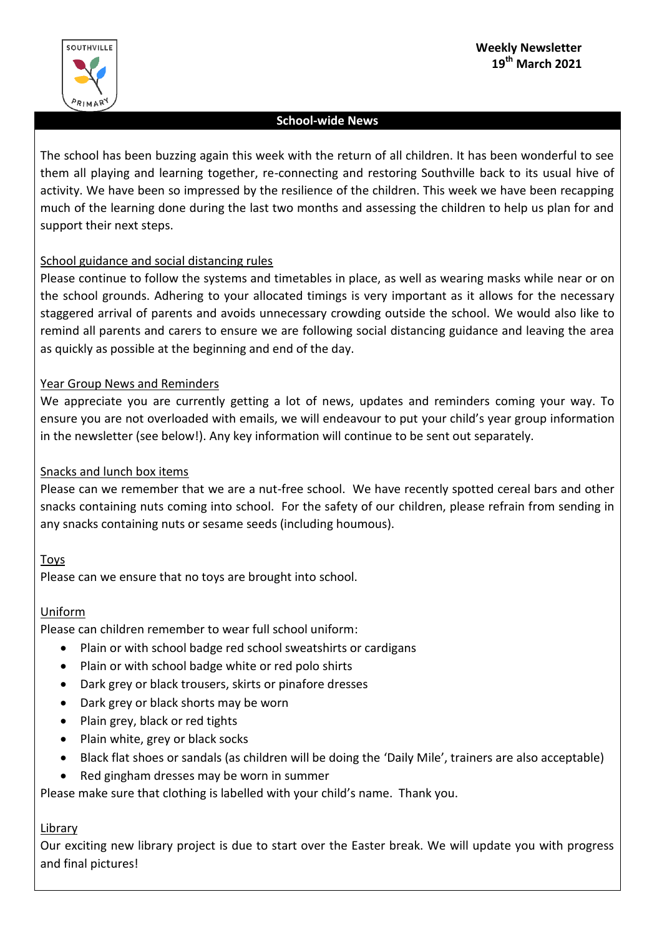

## **School-wide News**

The school has been buzzing again this week with the return of all children. It has been wonderful to see them all playing and learning together, re-connecting and restoring Southville back to its usual hive of activity. We have been so impressed by the resilience of the children. This week we have been recapping much of the learning done during the last two months and assessing the children to help us plan for and support their next steps.

## School guidance and social distancing rules

Please continue to follow the systems and timetables in place, as well as wearing masks while near or on the school grounds. Adhering to your allocated timings is very important as it allows for the necessary staggered arrival of parents and avoids unnecessary crowding outside the school. We would also like to remind all parents and carers to ensure we are following social distancing guidance and leaving the area as quickly as possible at the beginning and end of the day.

## Year Group News and Reminders

We appreciate you are currently getting a lot of news, updates and reminders coming your way. To ensure you are not overloaded with emails, we will endeavour to put your child's year group information in the newsletter (see below!). Any key information will continue to be sent out separately.

## Snacks and lunch box items

Please can we remember that we are a nut-free school. We have recently spotted cereal bars and other snacks containing nuts coming into school. For the safety of our children, please refrain from sending in any snacks containing nuts or sesame seeds (including houmous).

## Toys

Please can we ensure that no toys are brought into school.

## Uniform

Please can children remember to wear full school uniform:

- Plain or with school badge red school sweatshirts or cardigans
- Plain or with school badge white or red polo shirts
- Dark grey or black trousers, skirts or pinafore dresses
- Dark grey or black shorts may be worn
- Plain grey, black or red tights
- Plain white, grey or black socks
- Black flat shoes or sandals (as children will be doing the 'Daily Mile', trainers are also acceptable)
- Red gingham dresses may be worn in summer

Please make sure that clothing is labelled with your child's name. Thank you.

## Library

Our exciting new library project is due to start over the Easter break. We will update you with progress and final pictures!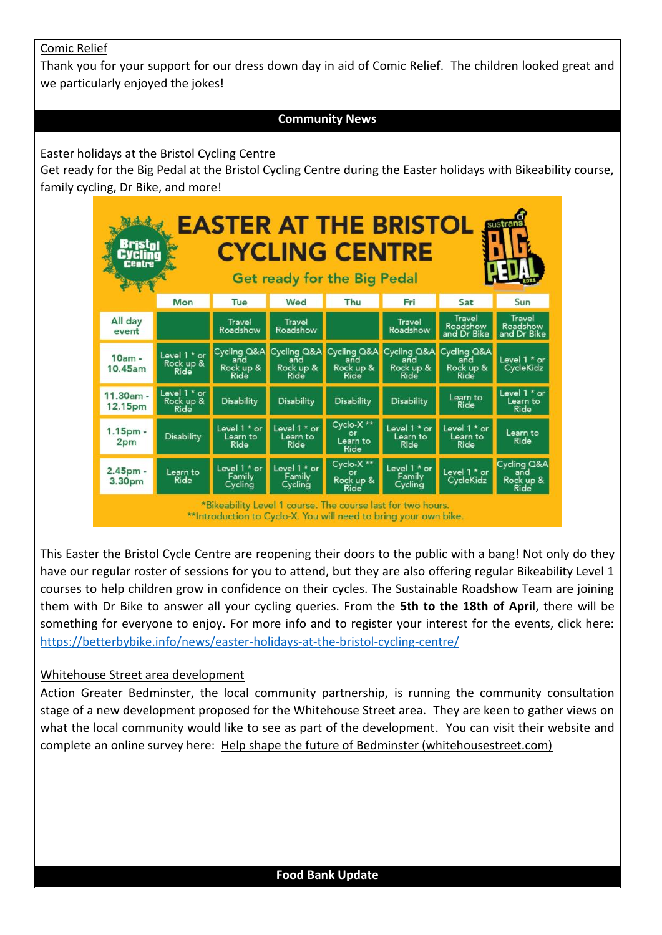## Comic Relief

Thank you for your support for our dress down day in aid of Comic Relief. The children looked great and we particularly enjoyed the jokes!

## **Community News**

### Easter holidays at the Bristol Cycling Centre

Get ready for the Big Pedal at the Bristol Cycling Centre during the Easter holidays with Bikeability course, family cycling, Dr Bike, and more!



This Easter the Bristol Cycle Centre are reopening their doors to the public with a bang! Not only do they have our regular roster of sessions for you to attend, but they are also offering regular Bikeability Level 1 courses to help children grow in confidence on their cycles. The Sustainable Roadshow Team are joining them with Dr Bike to answer all your cycling queries. From the **5th to the 18th of April**, there will be something for everyone to enjoy. For more info and to register your interest for the events, click here: <https://betterbybike.info/news/easter-holidays-at-the-bristol-cycling-centre/>

## Whitehouse Street area development

Action Greater Bedminster, the local community partnership, is running the community consultation stage of a new development proposed for the Whitehouse Street area. They are keen to gather views on what the local community would like to see as part of the development. You can visit their website and complete an online survey here: [Help shape the future of Bedminster \(whitehousestreet.com\)](https://whitehousestreet.com/index.php)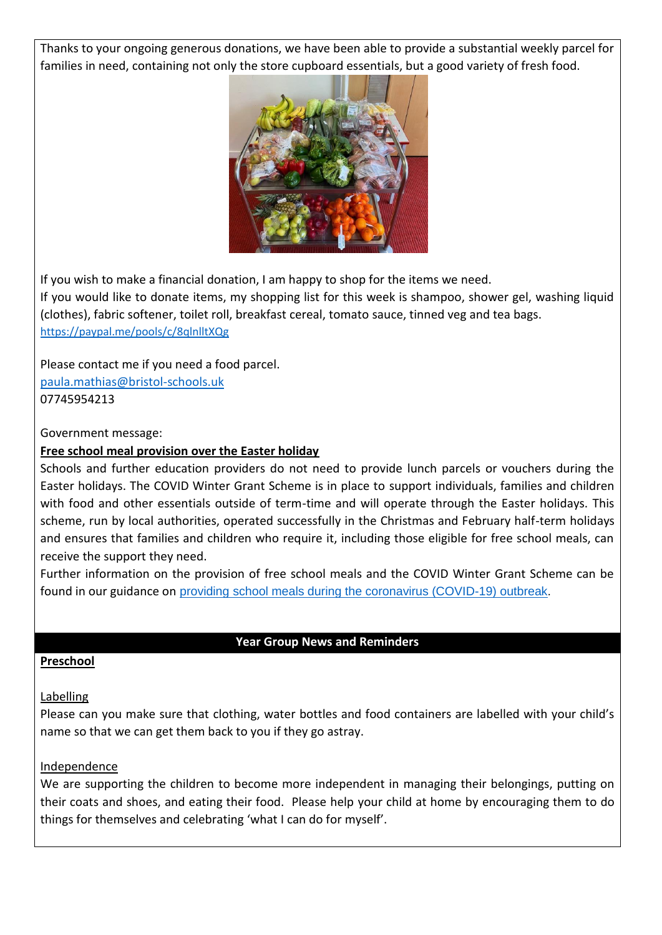Thanks to your ongoing generous donations, we have been able to provide a substantial weekly parcel for families in need, containing not only the store cupboard essentials, but a good variety of fresh food.



If you wish to make a financial donation, I am happy to shop for the items we need. If you would like to donate items, my shopping list for this week is shampoo, shower gel, washing liquid (clothes), fabric softener, toilet roll, breakfast cereal, tomato sauce, tinned veg and tea bags. <https://paypal.me/pools/c/8qlnlltXQg>

Please contact me if you need a food parcel. [paula.mathias@bristol-schools.uk](mailto:paula.mathias@bristol-schools.uk) 07745954213

Government message:

## **Free school meal provision over the Easter holiday**

Schools and further education providers do not need to provide lunch parcels or vouchers during the Easter holidays. The COVID Winter Grant Scheme is in place to support individuals, families and children with food and other essentials outside of term-time and will operate through the Easter holidays. This scheme, run by local authorities, operated successfully in the Christmas and February half-term holidays and ensures that families and children who require it, including those eligible for free school meals, can receive the support they need.

Further information on the provision of free school meals and the COVID Winter Grant Scheme can be found in our guidance on [providing school meals during the coronavirus \(COVID-19\) outbreak.](https://www.gov.uk/government/publications/covid-19-free-school-meals-guidance/covid-19-free-school-meals-guidance-for-schools?utm_source=12%20March%202021%20C19&utm_medium=Daily%20Email%20C19&utm_campaign=DfE%20C19)

#### **Year Group News and Reminders**

#### **Preschool**

## **Labelling**

Please can you make sure that clothing, water bottles and food containers are labelled with your child's name so that we can get them back to you if they go astray.

#### Independence

We are supporting the children to become more independent in managing their belongings, putting on their coats and shoes, and eating their food. Please help your child at home by encouraging them to do things for themselves and celebrating 'what I can do for myself'.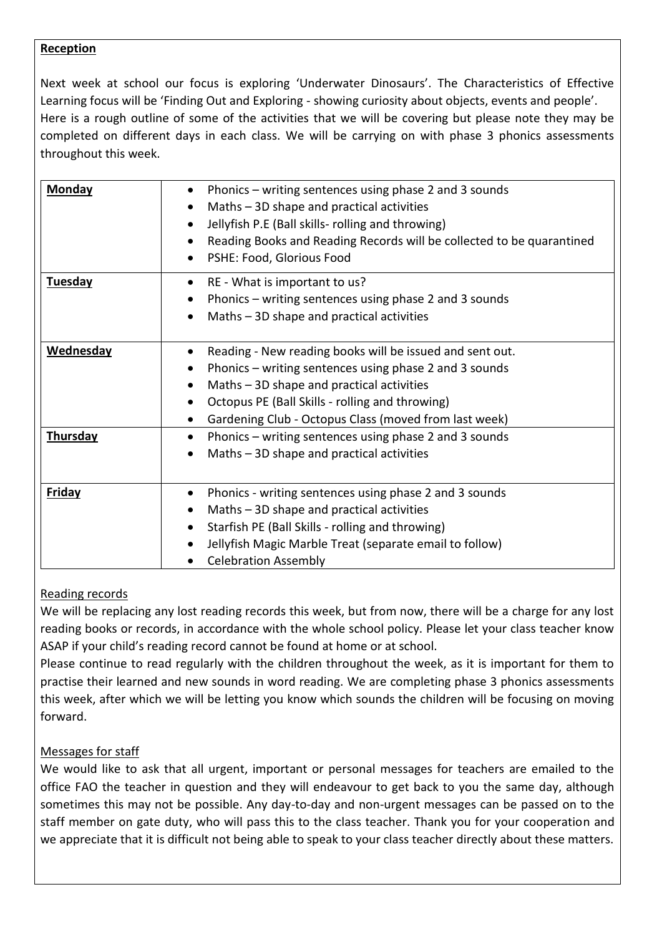## **Reception**

Next week at school our focus is exploring 'Underwater Dinosaurs'. The Characteristics of Effective Learning focus will be 'Finding Out and Exploring - showing curiosity about objects, events and people'. Here is a rough outline of some of the activities that we will be covering but please note they may be completed on different days in each class. We will be carrying on with phase 3 phonics assessments throughout this week.

| Monday           | Phonics – writing sentences using phase 2 and 3 sounds<br>Maths - 3D shape and practical activities<br>Jellyfish P.E (Ball skills-rolling and throwing)<br>Reading Books and Reading Records will be collected to be quarantined<br>PSHE: Food, Glorious Food                            |
|------------------|------------------------------------------------------------------------------------------------------------------------------------------------------------------------------------------------------------------------------------------------------------------------------------------|
| <b>Tuesday</b>   | RE - What is important to us?<br>$\bullet$<br>Phonics - writing sentences using phase 2 and 3 sounds<br>Maths - 3D shape and practical activities<br>$\bullet$                                                                                                                           |
| <b>Wednesday</b> | Reading - New reading books will be issued and sent out.<br>$\bullet$<br>Phonics – writing sentences using phase 2 and 3 sounds<br>Maths - 3D shape and practical activities<br>Octopus PE (Ball Skills - rolling and throwing)<br>Gardening Club - Octopus Class (moved from last week) |
| Thursday         | Phonics – writing sentences using phase 2 and 3 sounds<br>$\bullet$<br>Maths $-3D$ shape and practical activities                                                                                                                                                                        |
| <b>Friday</b>    | Phonics - writing sentences using phase 2 and 3 sounds<br>$\bullet$<br>Maths - 3D shape and practical activities<br>Starfish PE (Ball Skills - rolling and throwing)<br>Jellyfish Magic Marble Treat (separate email to follow)<br><b>Celebration Assembly</b>                           |

## Reading records

We will be replacing any lost reading records this week, but from now, there will be a charge for any lost reading books or records, in accordance with the whole school policy. Please let your class teacher know ASAP if your child's reading record cannot be found at home or at school.

Please continue to read regularly with the children throughout the week, as it is important for them to practise their learned and new sounds in word reading. We are completing phase 3 phonics assessments this week, after which we will be letting you know which sounds the children will be focusing on moving forward.

## Messages for staff

We would like to ask that all urgent, important or personal messages for teachers are emailed to the office FAO the teacher in question and they will endeavour to get back to you the same day, although sometimes this may not be possible. Any day-to-day and non-urgent messages can be passed on to the staff member on gate duty, who will pass this to the class teacher. Thank you for your cooperation and we appreciate that it is difficult not being able to speak to your class teacher directly about these matters.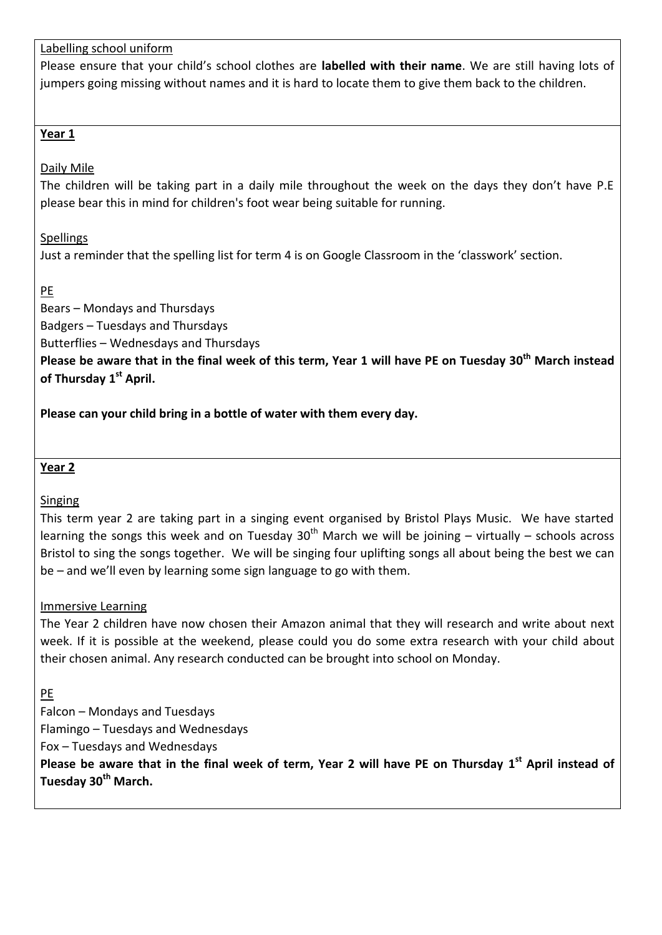Labelling school uniform

Please ensure that your child's school clothes are **labelled with their name**. We are still having lots of jumpers going missing without names and it is hard to locate them to give them back to the children.

## **Year 1**

Daily Mile

The children will be taking part in a daily mile throughout the week on the days they don't have P.E please bear this in mind for children's foot wear being suitable for running.

**Spellings** 

Just a reminder that the spelling list for term 4 is on Google Classroom in the 'classwork' section.

PE

Bears – Mondays and Thursdays

Badgers – Tuesdays and Thursdays

Butterflies – Wednesdays and Thursdays

**Please be aware that in the final week of this term, Year 1 will have PE on Tuesday 30th March instead of Thursday 1 st April.**

**Please can your child bring in a bottle of water with them every day.**

**Year 2**

Singing

This term year 2 are taking part in a singing event organised by Bristol Plays Music. We have started learning the songs this week and on Tuesday  $30<sup>th</sup>$  March we will be joining – virtually – schools across Bristol to sing the songs together. We will be singing four uplifting songs all about being the best we can be – and we'll even by learning some sign language to go with them.

Immersive Learning

The Year 2 children have now chosen their Amazon animal that they will research and write about next week. If it is possible at the weekend, please could you do some extra research with your child about their chosen animal. Any research conducted can be brought into school on Monday.

PE

Falcon – Mondays and Tuesdays

Flamingo – Tuesdays and Wednesdays

Fox – Tuesdays and Wednesdays

Please be aware that in the final week of term, Year 2 will have PE on Thursday 1<sup>st</sup> April instead of **Tuesday 30th March.**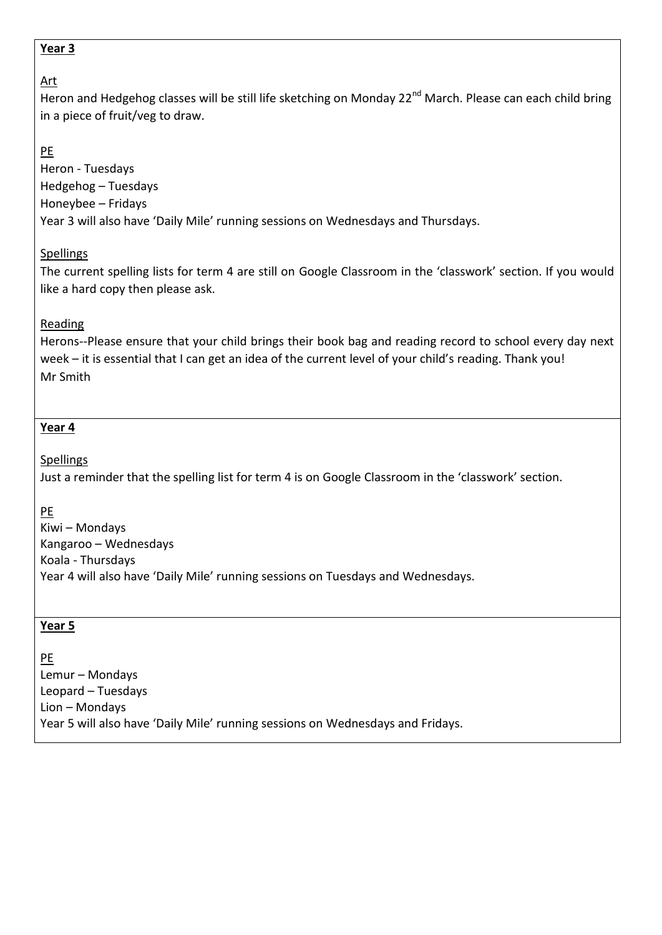## **Year 3**

# Art

Heron and Hedgehog classes will be still life sketching on Monday 22<sup>nd</sup> March. Please can each child bring in a piece of fruit/veg to draw.

# PE

Heron - Tuesdays Hedgehog – Tuesdays Honeybee – Fridays Year 3 will also have 'Daily Mile' running sessions on Wednesdays and Thursdays.

## **Spellings**

The current spelling lists for term 4 are still on Google Classroom in the 'classwork' section. If you would like a hard copy then please ask.

## **Reading**

Herons--Please ensure that your child brings their book bag and reading record to school every day next week – it is essential that I can get an idea of the current level of your child's reading. Thank you! Mr Smith

# **Year 4**

**Spellings** 

Just a reminder that the spelling list for term 4 is on Google Classroom in the 'classwork' section.

PE

Kiwi – Mondays Kangaroo – Wednesdays Koala - Thursdays Year 4 will also have 'Daily Mile' running sessions on Tuesdays and Wednesdays.

## **Year 5**

PE Lemur – Mondays Leopard – Tuesdays Lion – Mondays Year 5 will also have 'Daily Mile' running sessions on Wednesdays and Fridays.